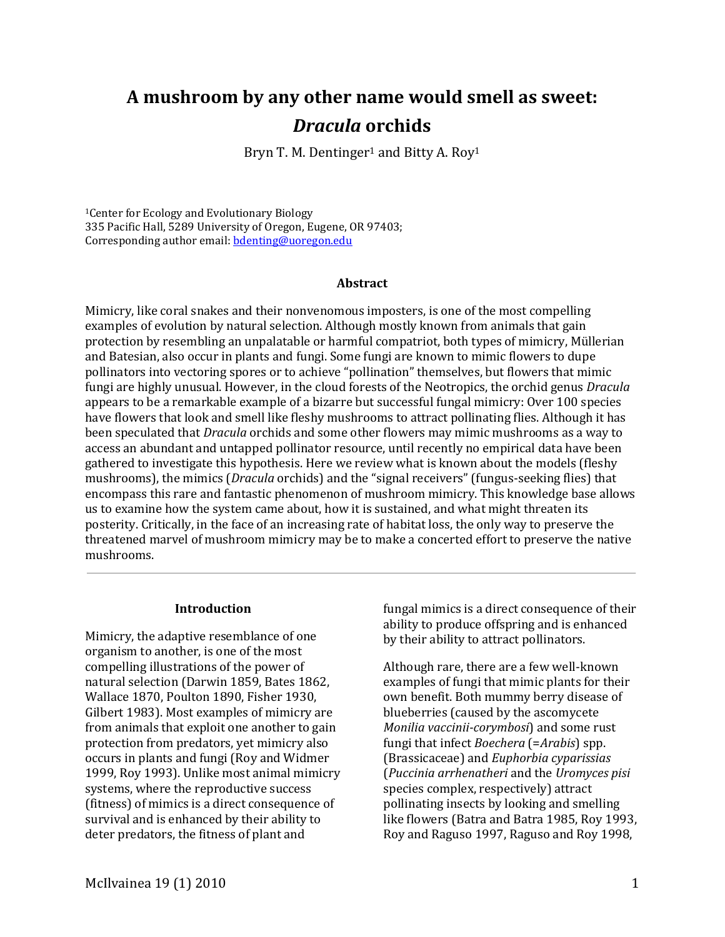# **A mushroom by any other name would smell as sweet:**  *Dracula* **orchids**

Bryn T. M. Dentinger<sup>1</sup> and Bitty A. Roy<sup>1</sup>

1Center for Ecology and Evolutionary Biology 335 Pacific Hall, 5289 University of Oregon, Eugene, OR 97403; Corresponding author email: [bdenting@uoregon.edu](mailto:bdenting@uoregon.edu)

## **Abstract**

Mimicry, like coral snakes and their nonvenomous imposters, is one of the most compelling examples of evolution by natural selection. Although mostly known from animals that gain protection by resembling an unpalatable or harmful compatriot, both types of mimicry, Müllerian and Batesian, also occur in plants and fungi. Some fungi are known to mimic flowers to dupe pollinators into vectoring spores or to achieve "pollination" themselves, but flowers that mimic fungi are highly unusual. However, in the cloud forests of the Neotropics, the orchid genus *Dracula* appears to be a remarkable example of a bizarre but successful fungal mimicry: Over 100 species have flowers that look and smell like fleshy mushrooms to attract pollinating flies. Although it has been speculated that *Dracula* orchids and some other flowers may mimic mushrooms as a way to access an abundant and untapped pollinator resource, until recently no empirical data have been gathered to investigate this hypothesis. Here we review what is known about the models (fleshy mushrooms), the mimics (*Dracula* orchids) and the "signal receivers" (fungus-seeking flies) that encompass this rare and fantastic phenomenon of mushroom mimicry. This knowledge base allows us to examine how the system came about, how it is sustained, and what might threaten its posterity. Critically, in the face of an increasing rate of habitat loss, the only way to preserve the threatened marvel of mushroom mimicry may be to make a concerted effort to preserve the native mushrooms.

## **Introduction**

Mimicry, the adaptive resemblance of one organism to another, is one of the most compelling illustrations of the power of natural selection (Darwin 1859, Bates 1862, Wallace 1870, Poulton 1890, Fisher 1930, Gilbert 1983). Most examples of mimicry are from animals that exploit one another to gain protection from predators, yet mimicry also occurs in plants and fungi (Roy and Widmer 1999, Roy 1993). Unlike most animal mimicry systems, where the reproductive success (fitness) of mimics is a direct consequence of survival and is enhanced by their ability to deter predators, the fitness of plant and

fungal mimics is a direct consequence of their ability to produce offspring and is enhanced by their ability to attract pollinators.

Although rare, there are a few well-known examples of fungi that mimic plants for their own benefit. Both mummy berry disease of blueberries (caused by the ascomycete *Monilia vaccinii-corymbosi*) and some rust fungi that infect *Boechera* (=*Arabis*) spp. (Brassicaceae) and *Euphorbia cyparissias* (*Puccinia arrhenatheri* and the *Uromyces pisi* species complex, respectively) attract pollinating insects by looking and smelling like flowers (Batra and Batra 1985, Roy 1993, Roy and Raguso 1997, Raguso and Roy 1998,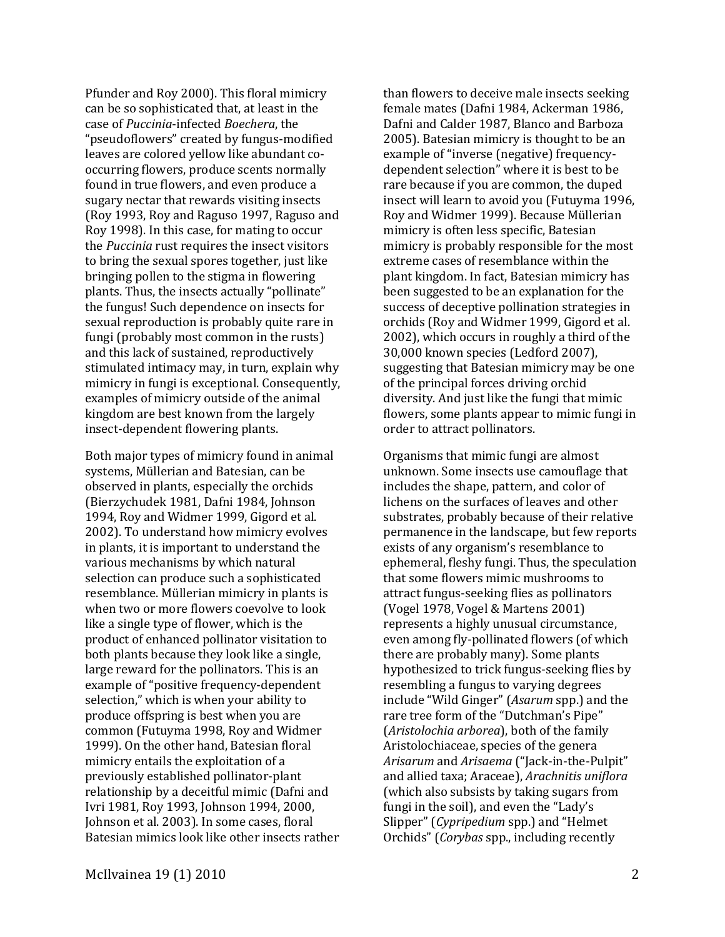Pfunder and Roy 2000). This floral mimicry can be so sophisticated that, at least in the case of *Puccinia*-infected *Boechera*, the "pseudoflowers" created by fungus-modified leaves are colored yellow like abundant cooccurring flowers, produce scents normally found in true flowers, and even produce a sugary nectar that rewards visiting insects (Roy 1993, Roy and Raguso 1997, Raguso and Roy 1998). In this case, for mating to occur the *Puccinia* rust requires the insect visitors to bring the sexual spores together, just like bringing pollen to the stigma in flowering plants. Thus, the insects actually "pollinate" the fungus! Such dependence on insects for sexual reproduction is probably quite rare in fungi (probably most common in the rusts) and this lack of sustained, reproductively stimulated intimacy may, in turn, explain why mimicry in fungi is exceptional. Consequently, examples of mimicry outside of the animal kingdom are best known from the largely insect-dependent flowering plants.

Both major types of mimicry found in animal systems, Müllerian and Batesian, can be observed in plants, especially the orchids (Bierzychudek 1981, Dafni 1984, Johnson 1994, Roy and Widmer 1999, Gigord et al. 2002). To understand how mimicry evolves in plants, it is important to understand the various mechanisms by which natural selection can produce such a sophisticated resemblance. Müllerian mimicry in plants is when two or more flowers coevolve to look like a single type of flower, which is the product of enhanced pollinator visitation to both plants because they look like a single, large reward for the pollinators. This is an example of "positive frequency-dependent selection," which is when your ability to produce offspring is best when you are common (Futuyma 1998, Roy and Widmer 1999). On the other hand, Batesian floral mimicry entails the exploitation of a previously established pollinator-plant relationship by a deceitful mimic (Dafni and Ivri 1981, Roy 1993, Johnson 1994, 2000, Johnson et al. 2003). In some cases, floral Batesian mimics look like other insects rather

than flowers to deceive male insects seeking female mates (Dafni 1984, Ackerman 1986, Dafni and Calder 1987, Blanco and Barboza 2005). Batesian mimicry is thought to be an example of "inverse (negative) frequencydependent selection" where it is best to be rare because if you are common, the duped insect will learn to avoid you (Futuyma 1996, Roy and Widmer 1999). Because Müllerian mimicry is often less specific, Batesian mimicry is probably responsible for the most extreme cases of resemblance within the plant kingdom. In fact, Batesian mimicry has been suggested to be an explanation for the success of deceptive pollination strategies in orchids (Roy and Widmer 1999, Gigord et al. 2002), which occurs in roughly a third of the 30,000 known species (Ledford 2007), suggesting that Batesian mimicry may be one of the principal forces driving orchid diversity. And just like the fungi that mimic flowers, some plants appear to mimic fungi in order to attract pollinators.

Organisms that mimic fungi are almost unknown. Some insects use camouflage that includes the shape, pattern, and color of lichens on the surfaces of leaves and other substrates, probably because of their relative permanence in the landscape, but few reports exists of any organism's resemblance to ephemeral, fleshy fungi. Thus, the speculation that some flowers mimic mushrooms to attract fungus-seeking flies as pollinators (Vogel 1978, Vogel & Martens 2001) represents a highly unusual circumstance, even among fly-pollinated flowers (of which there are probably many). Some plants hypothesized to trick fungus-seeking flies by resembling a fungus to varying degrees include "Wild Ginger" (*Asarum* spp.) and the rare tree form of the "Dutchman's Pipe" (*Aristolochia arborea*), both of the family Aristolochiaceae, species of the genera *Arisarum* and *Arisaema* ("Jack-in-the-Pulpit" and allied taxa; Araceae), *Arachnitis uniflora* (which also subsists by taking sugars from fungi in the soil), and even the "Lady's Slipper" (*Cypripedium* spp.) and "Helmet Orchids" (*Corybas* spp., including recently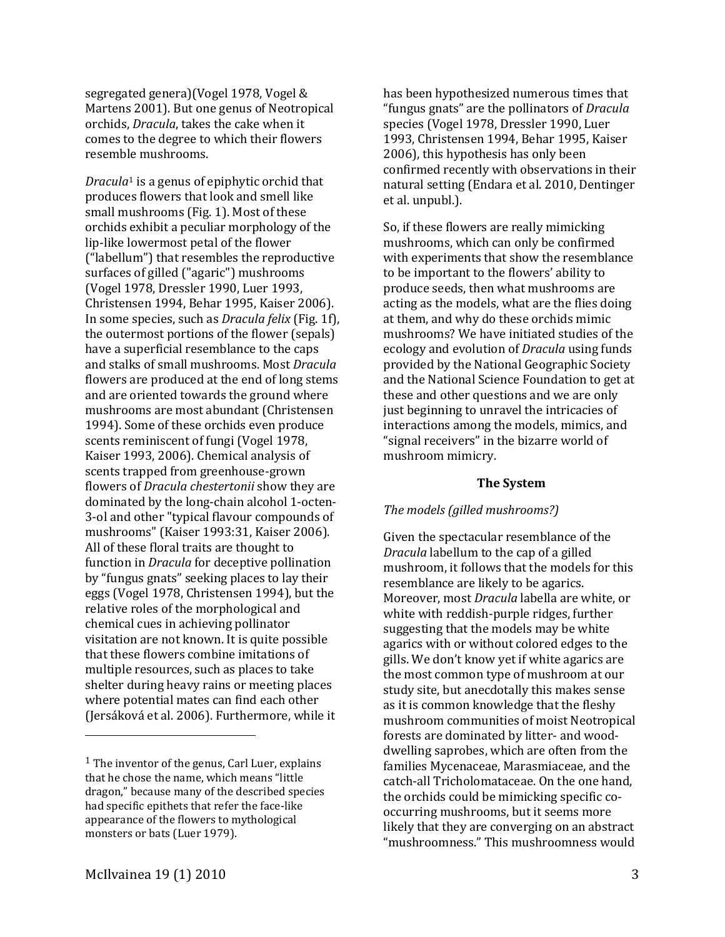segregated genera)(Vogel 1978, Vogel & Martens 2001). But one genus of Neotropical orchids, *Dracula*, takes the cake when it comes to the degree to which their flowers resemble mushrooms.

*Dracula*<sup>1</sup> is a genus of epiphytic orchid that produc[es](#page-2-0) flowers that look and smell like small mushrooms (Fig. 1). Most of these orchids exhibit a peculiar morphology of the lip-like lowermost petal of the flower ("labellum") that resembles the reproductive surfaces of gilled ("agaric") mushrooms (Vogel 1978, Dressler 1990, Luer 1993, Christensen 1994, Behar 1995, Kaiser 2006). In some species, such as *Dracula felix* (Fig. 1f), the outermost portions of the flower (sepals) have a superficial resemblance to the caps and stalks of small mushrooms. Most *Dracula* flowers are produced at the end of long stems and are oriented towards the ground where mushrooms are most abundant (Christensen 1994). Some of these orchids even produce scents reminiscent of fungi (Vogel 1978, Kaiser 1993, 2006). Chemical analysis of scents trapped from greenhouse-grown flowers of *Dracula chestertonii* show they are dominated by the long-chain alcohol 1-octen-3-ol and other "typical flavour compounds of mushrooms" (Kaiser 1993:31, Kaiser 2006). All of these floral traits are thought to function in *Dracula* for deceptive pollination by "fungus gnats" seeking places to lay their eggs (Vogel 1978, Christensen 1994), but the relative roles of the morphological and chemical cues in achieving pollinator visitation are not known. It is quite possible that these flowers combine imitations of multiple resources, such as places to take shelter during heavy rains or meeting places where potential mates can find each other (Jersáková et al. 2006). Furthermore, while it

has been hypothesized numerous times that "fungus gnats" are the pollinators of *Dracula* species (Vogel 1978, Dressler 1990, Luer 1993, Christensen 1994, Behar 1995, Kaiser 2006), this hypothesis has only been confirmed recently with observations in their natural setting (Endara et al. 2010, Dentinger et al. unpubl.).

So, if these flowers are really mimicking mushrooms, which can only be confirmed with experiments that show the resemblance to be important to the flowers' ability to produce seeds, then what mushrooms are acting as the models, what are the flies doing at them, and why do these orchids mimic mushrooms? We have initiated studies of the ecology and evolution of *Dracula* using funds provided by the National Geographic Society and the National Science Foundation to get at these and other questions and we are only just beginning to unravel the intricacies of interactions among the models, mimics, and "signal receivers" in the bizarre world of mushroom mimicry.

# **The System**

# *The models (gilled mushrooms?)*

Given the spectacular resemblance of the *Dracula* labellum to the cap of a gilled mushroom, it follows that the models for this resemblance are likely to be agarics. Moreover, most *Dracula* labella are white, or white with reddish-purple ridges, further suggesting that the models may be white agarics with or without colored edges to the gills. We don't know yet if white agarics are the most common type of mushroom at our study site, but anecdotally this makes sense as it is common knowledge that the fleshy mushroom communities of moist Neotropical forests are dominated by litter- and wooddwelling saprobes, which are often from the families Mycenaceae, Marasmiaceae, and the catch-all Tricholomataceae. On the one hand, the orchids could be mimicking specific cooccurring mushrooms, but it seems more likely that they are converging on an abstract "mushroomness." This mushroomness would

i<br>I

<span id="page-2-0"></span><sup>1</sup> The inventor of the genus, Carl Luer, explains that he chose the name, which means "little dragon," because many of the described species had specific epithets that refer the face-like appearance of the flowers to mythological monsters or bats (Luer 1979).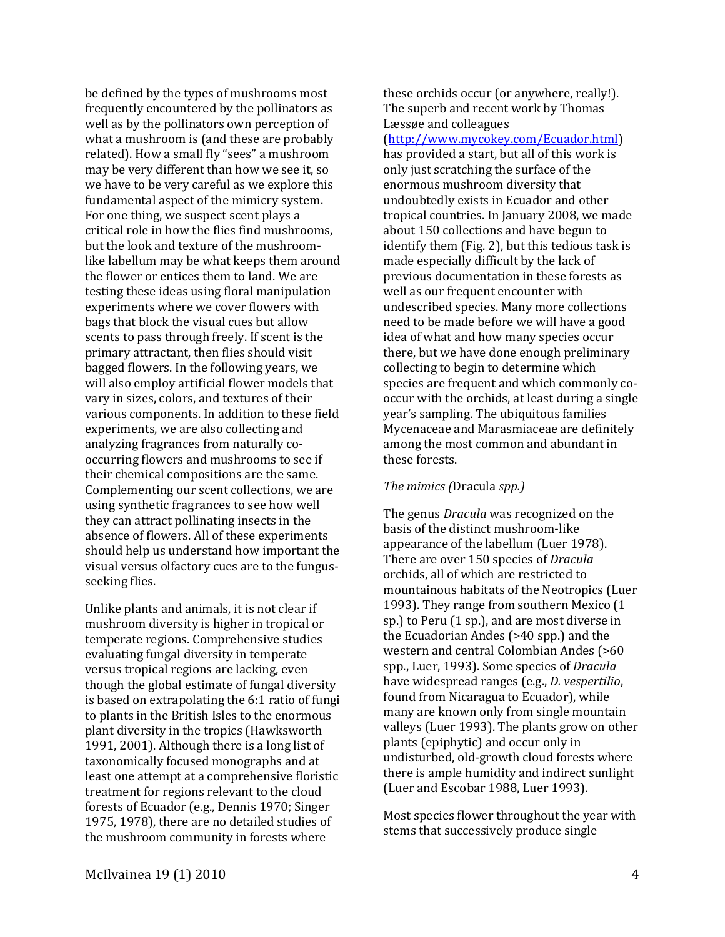be defined by the types of mushrooms most frequently encountered by the pollinators as well as by the pollinators own perception of what a mushroom is (and these are probably related). How a small fly "sees" a mushroom may be very different than how we see it, so we have to be very careful as we explore this fundamental aspect of the mimicry system. For one thing, we suspect scent plays a critical role in how the flies find mushrooms, but the look and texture of the mushroomlike labellum may be what keeps them around the flower or entices them to land. We are testing these ideas using floral manipulation experiments where we cover flowers with bags that block the visual cues but allow scents to pass through freely. If scent is the primary attractant, then flies should visit bagged flowers. In the following years, we will also employ artificial flower models that vary in sizes, colors, and textures of their various components. In addition to these field experiments, we are also collecting and analyzing fragrances from naturally cooccurring flowers and mushrooms to see if their chemical compositions are the same. Complementing our scent collections, we are using synthetic fragrances to see how well they can attract pollinating insects in the absence of flowers. All of these experiments should help us understand how important the visual versus olfactory cues are to the fungusseeking flies.

Unlike plants and animals, it is not clear if mushroom diversity is higher in tropical or temperate regions. Comprehensive studies evaluating fungal diversity in temperate versus tropical regions are lacking, even though the global estimate of fungal diversity is based on extrapolating the 6:1 ratio of fungi to plants in the British Isles to the enormous plant diversity in the tropics (Hawksworth 1991, 2001). Although there is a long list of taxonomically focused monographs and at least one attempt at a comprehensive floristic treatment for regions relevant to the cloud forests of Ecuador (e.g., Dennis 1970; Singer 1975, 1978), there are no detailed studies of the mushroom community in forests where

these orchids occur (or anywhere, really!). The superb and recent work by Thomas Læssøe and colleagues

[\(http://www.mycokey.com/Ecuador.html\)](http://www.mycokey.com/Ecuador.html) has provided a start, but all of this work is only just scratching the surface of the enormous mushroom diversity that undoubtedly exists in Ecuador and other tropical countries. In January 2008, we made about 150 collections and have begun to identify them (Fig. 2), but this tedious task is made especially difficult by the lack of previous documentation in these forests as well as our frequent encounter with undescribed species. Many more collections need to be made before we will have a good idea of what and how many species occur there, but we have done enough preliminary collecting to begin to determine which species are frequent and which commonly cooccur with the orchids, at least during a single year's sampling. The ubiquitous families Mycenaceae and Marasmiaceae are definitely among the most common and abundant in these forests.

## *The mimics (*Dracula *spp.)*

The genus *Dracula* was recognized on the basis of the distinct mushroom-like appearance of the labellum (Luer 1978). There are over 150 species of *Dracula* orchids, all of which are restricted to mountainous habitats of the Neotropics (Luer 1993). They range from southern Mexico (1 sp.) to Peru (1 sp.), and are most diverse in the Ecuadorian Andes (>40 spp.) and the western and central Colombian Andes (>60 spp., Luer, 1993). Some species of *Dracula* have widespread ranges (e.g., *D. vespertilio*, found from Nicaragua to Ecuador), while many are known only from single mountain valleys (Luer 1993). The plants grow on other plants (epiphytic) and occur only in undisturbed, old-growth cloud forests where there is ample humidity and indirect sunlight (Luer and Escobar 1988, Luer 1993).

Most species flower throughout the year with stems that successively produce single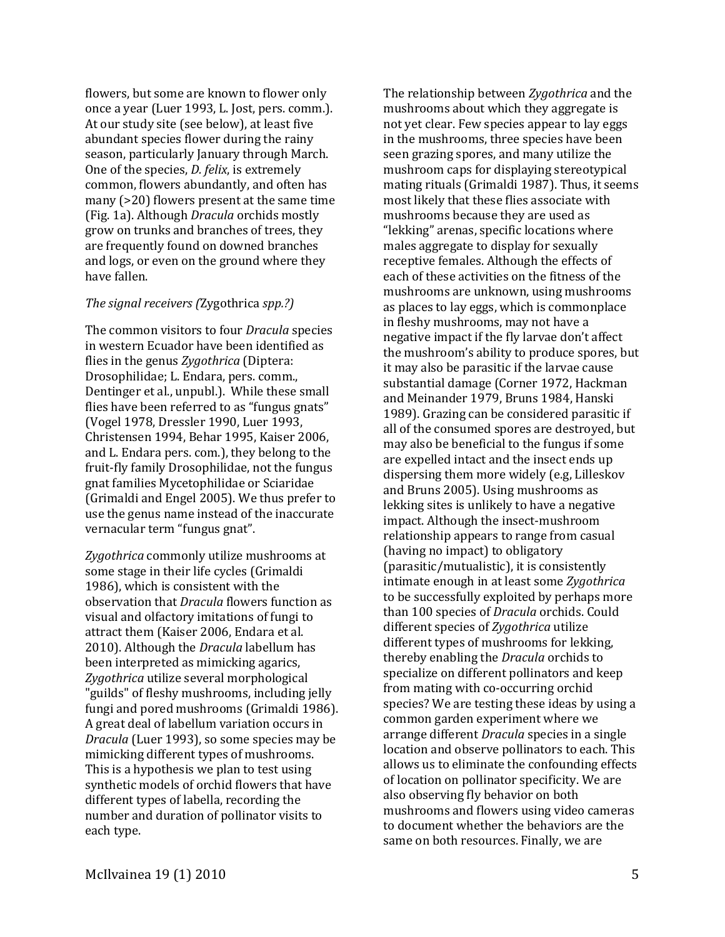flowers, but some are known to flower only once a year (Luer 1993, L. Jost, pers. comm.). At our study site (see below), at least five abundant species flower during the rainy season, particularly January through March. One of the species, *D. felix*, is extremely common, flowers abundantly, and often has many (>20) flowers present at the same time (Fig. 1a). Although *Dracula* orchids mostly grow on trunks and branches of trees, they are frequently found on downed branches and logs, or even on the ground where they have fallen.

## *The signal receivers (*Zygothrica *spp.?)*

The common visitors to four *Dracula* species in western Ecuador have been identified as flies in the genus *Zygothrica* (Diptera: Drosophilidae; L. Endara, pers. comm., Dentinger et al., unpubl.). While these small flies have been referred to as "fungus gnats" (Vogel 1978, Dressler 1990, Luer 1993, Christensen 1994, Behar 1995, Kaiser 2006, and L. Endara pers. com.), they belong to the fruit-fly family Drosophilidae, not the fungus gnat families Mycetophilidae or Sciaridae (Grimaldi and Engel 2005). We thus prefer to use the genus name instead of the inaccurate vernacular term "fungus gnat".

*Zygothrica* commonly utilize mushrooms at some stage in their life cycles (Grimaldi 1986), which is consistent with the observation that *Dracula* flowers function as visual and olfactory imitations of fungi to attract them (Kaiser 2006, Endara et al. 2010). Although the *Dracula* labellum has been interpreted as mimicking agarics, *Zygothrica* utilize several morphological "guilds" of fleshy mushrooms, including jelly fungi and pored mushrooms (Grimaldi 1986). A great deal of labellum variation occurs in *Dracula* (Luer 1993), so some species may be mimicking different types of mushrooms. This is a hypothesis we plan to test using synthetic models of orchid flowers that have different types of labella, recording the number and duration of pollinator visits to each type.

The relationship between *Zygothrica* and the mushrooms about which they aggregate is not yet clear. Few species appear to lay eggs in the mushrooms, three species have been seen grazing spores, and many utilize the mushroom caps for displaying stereotypical mating rituals (Grimaldi 1987). Thus, it seems most likely that these flies associate with mushrooms because they are used as "lekking" arenas, specific locations where males aggregate to display for sexually receptive females. Although the effects of each of these activities on the fitness of the mushrooms are unknown, using mushrooms as places to lay eggs, which is commonplace in fleshy mushrooms, may not have a negative impact if the fly larvae don't affect the mushroom's ability to produce spores, but it may also be parasitic if the larvae cause substantial damage (Corner 1972, Hackman and Meinander 1979, Bruns 1984, Hanski 1989). Grazing can be considered parasitic if all of the consumed spores are destroyed, but may also be beneficial to the fungus if some are expelled intact and the insect ends up dispersing them more widely (e.g, Lilleskov and Bruns 2005). Using mushrooms as lekking sites is unlikely to have a negative impact. Although the insect-mushroom relationship appears to range from casual (having no impact) to obligatory (parasitic/mutualistic), it is consistently intimate enough in at least some *Zygothrica* to be successfully exploited by perhaps more than 100 species of *Dracula* orchids. Could different species of *Zygothrica* utilize different types of mushrooms for lekking, thereby enabling the *Dracula* orchids to specialize on different pollinators and keep from mating with co-occurring orchid species? We are testing these ideas by using a common garden experiment where we arrange different *Dracula* species in a single location and observe pollinators to each. This allows us to eliminate the confounding effects of location on pollinator specificity. We are also observing fly behavior on both mushrooms and flowers using video cameras to document whether the behaviors are the same on both resources. Finally, we are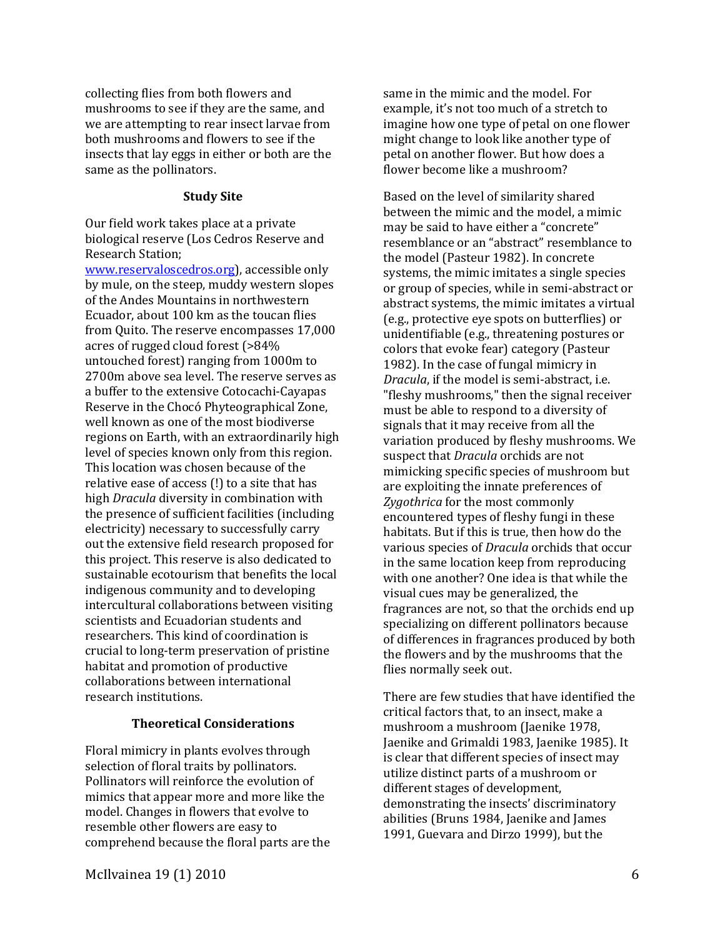collecting flies from both flowers and mushrooms to see if they are the same, and we are attempting to rear insect larvae from both mushrooms and flowers to see if the insects that lay eggs in either or both are the same as the pollinators.

## **Study Site**

Our field work takes place at a private biological reserve (Los Cedros Reserve and Research Station;

[www.reservaloscedros.org\)](http://www.reservaloscedros.org/), accessible only by mule, on the steep, muddy western slopes of the Andes Mountains in northwestern Ecuador, about 100 km as the toucan flies from Quito. The reserve encompasses 17,000 acres of rugged cloud forest (>84% untouched forest) ranging from 1000m to 2700m above sea level. The reserve serves as a buffer to the extensive Cotocachi-Cayapas Reserve in the Chocó Phyteographical Zone, well known as one of the most biodiverse regions on Earth, with an extraordinarily high level of species known only from this region. This location was chosen because of the relative ease of access (!) to a site that has high *Dracula* diversity in combination with the presence of sufficient facilities (including electricity) necessary to successfully carry out the extensive field research proposed for this project. This reserve is also dedicated to sustainable ecotourism that benefits the local indigenous community and to developing intercultural collaborations between visiting scientists and Ecuadorian students and researchers. This kind of coordination is crucial to long-term preservation of pristine habitat and promotion of productive collaborations between international research institutions.

# **Theoretical Considerations**

Floral mimicry in plants evolves through selection of floral traits by pollinators. Pollinators will reinforce the evolution of mimics that appear more and more like the model. Changes in flowers that evolve to resemble other flowers are easy to comprehend because the floral parts are the

same in the mimic and the model. For example, it's not too much of a stretch to imagine how one type of petal on one flower might change to look like another type of petal on another flower. But how does a flower become like a mushroom?

Based on the level of similarity shared between the mimic and the model, a mimic may be said to have either a "concrete" resemblance or an "abstract" resemblance to the model (Pasteur 1982). In concrete systems, the mimic imitates a single species or group of species, while in semi-abstract or abstract systems, the mimic imitates a virtual (e.g., protective eye spots on butterflies) or unidentifiable (e.g., threatening postures or colors that evoke fear) category (Pasteur 1982). In the case of fungal mimicry in *Dracula*, if the model is semi-abstract, i.e. "fleshy mushrooms," then the signal receiver must be able to respond to a diversity of signals that it may receive from all the variation produced by fleshy mushrooms. We suspect that *Dracula* orchids are not mimicking specific species of mushroom but are exploiting the innate preferences of *Zygothrica* for the most commonly encountered types of fleshy fungi in these habitats. But if this is true, then how do the various species of *Dracula* orchids that occur in the same location keep from reproducing with one another? One idea is that while the visual cues may be generalized, the fragrances are not, so that the orchids end up specializing on different pollinators because of differences in fragrances produced by both the flowers and by the mushrooms that the flies normally seek out.

There are few studies that have identified the critical factors that, to an insect, make a mushroom a mushroom (Jaenike 1978, Jaenike and Grimaldi 1983, Jaenike 1985). It is clear that different species of insect may utilize distinct parts of a mushroom or different stages of development, demonstrating the insects' discriminatory abilities (Bruns 1984, Jaenike and James 1991, Guevara and Dirzo 1999), but the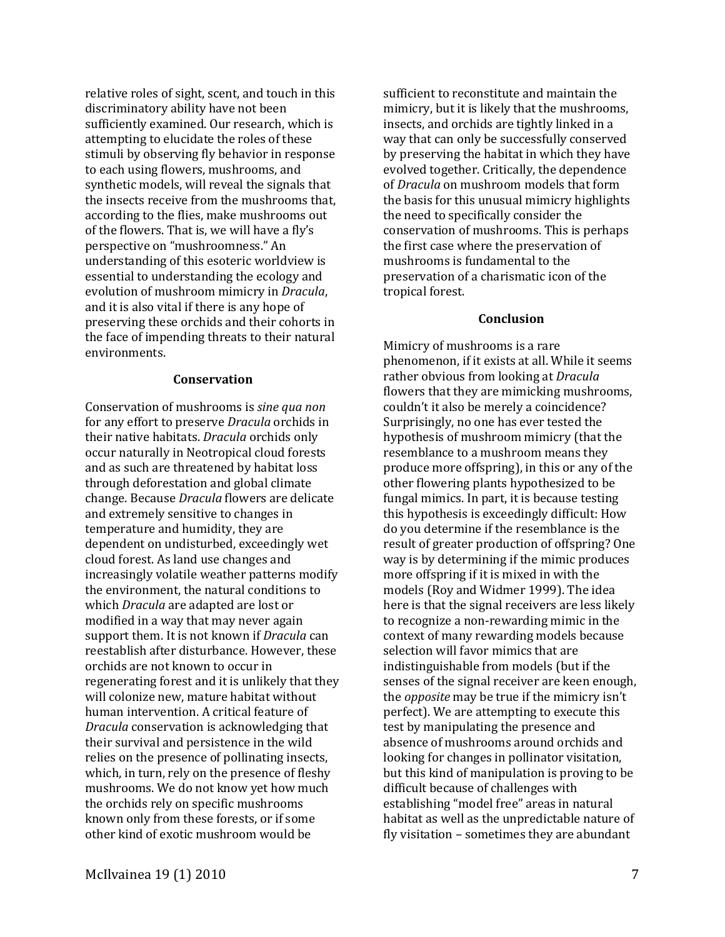relative roles of sight, scent, and touch in this discriminatory ability have not been sufficiently examined. Our research, which is attempting to elucidate the roles of these stimuli by observing fly behavior in response to each using flowers, mushrooms, and synthetic models, will reveal the signals that the insects receive from the mushrooms that, according to the flies, make mushrooms out of the flowers. That is, we will have a fly's perspective on "mushroomness." An understanding of this esoteric worldview is essential to understanding the ecology and evolution of mushroom mimicry in *Dracula*, and it is also vital if there is any hope of preserving these orchids and their cohorts in the face of impending threats to their natural environments.

## **Conservation**

Conservation of mushrooms is *sine qua non* for any effort to preserve *Dracula* orchids in their native habitats. *Dracula* orchids only occur naturally in Neotropical cloud forests and as such are threatened by habitat loss through deforestation and global climate change. Because *Dracula* flowers are delicate and extremely sensitive to changes in temperature and humidity, they are dependent on undisturbed, exceedingly wet cloud forest. As land use changes and increasingly volatile weather patterns modify the environment, the natural conditions to which *Dracula* are adapted are lost or modified in a way that may never again support them. It is not known if *Dracula* can reestablish after disturbance. However, these orchids are not known to occur in regenerating forest and it is unlikely that they will colonize new, mature habitat without human intervention. A critical feature of *Dracula* conservation is acknowledging that their survival and persistence in the wild relies on the presence of pollinating insects, which, in turn, rely on the presence of fleshy mushrooms. We do not know yet how much the orchids rely on specific mushrooms known only from these forests, or if some other kind of exotic mushroom would be

sufficient to reconstitute and maintain the mimicry, but it is likely that the mushrooms, insects, and orchids are tightly linked in a way that can only be successfully conserved by preserving the habitat in which they have evolved together. Critically, the dependence of *Dracula* on mushroom models that form the basis for this unusual mimicry highlights the need to specifically consider the conservation of mushrooms. This is perhaps the first case where the preservation of mushrooms is fundamental to the preservation of a charismatic icon of the tropical forest.

# **Conclusion**

Mimicry of mushrooms is a rare phenomenon, if it exists at all. While it seems rather obvious from looking at *Dracula* flowers that they are mimicking mushrooms, couldn't it also be merely a coincidence? Surprisingly, no one has ever tested the hypothesis of mushroom mimicry (that the resemblance to a mushroom means they produce more offspring), in this or any of the other flowering plants hypothesized to be fungal mimics. In part, it is because testing this hypothesis is exceedingly difficult: How do you determine if the resemblance is the result of greater production of offspring? One way is by determining if the mimic produces more offspring if it is mixed in with the models (Roy and Widmer 1999). The idea here is that the signal receivers are less likely to recognize a non-rewarding mimic in the context of many rewarding models because selection will favor mimics that are indistinguishable from models (but if the senses of the signal receiver are keen enough, the *opposite* may be true if the mimicry isn't perfect). We are attempting to execute this test by manipulating the presence and absence of mushrooms around orchids and looking for changes in pollinator visitation, but this kind of manipulation is proving to be difficult because of challenges with establishing "model free" areas in natural habitat as well as the unpredictable nature of fly visitation – sometimes they are abundant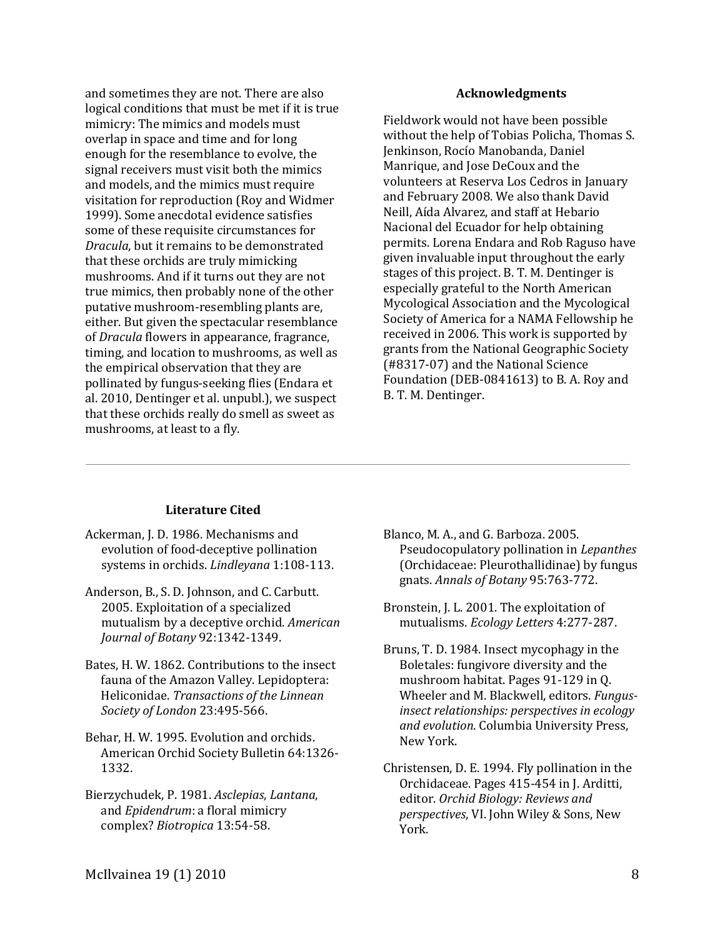and sometimes they are not. There are also logical conditions that must be met if it is true mimicry: The mimics and models must overlap in space and time and for long enough for the resemblance to evolve, the signal receivers must visit both the mimics and models, and the mimics must require visitation for reproduction (Roy and Widmer 1999). Some anecdotal evidence satisfies some of these requisite circumstances for *Dracula*, but it remains to be demonstrated that these orchids are truly mimicking mushrooms. And if it turns out they are not true mimics, then probably none of the other putative mushroom-resembling plants are, either. But given the spectacular resemblance of *Dracula* flowers in appearance, fragrance, timing, and location to mushrooms, as well as the empirical observation that they are pollinated by fungus-seeking flies (Endara et al. 2010, Dentinger et al. unpubl.), we suspect that these orchids really do smell as sweet as mushrooms, at least to a fly.

#### **Acknowledgments**

Fieldwork would not have been possible without the help of Tobias Policha, Thomas S. Jenkinson, Rocío Manobanda, Daniel Manrique, and Jose DeCoux and the volunteers at Reserva Los Cedros in January and February 2008. We also thank David Neill, Aída Alvarez, and staff at Hebario Nacional del Ecuador for help obtaining permits. Lorena Endara and Rob Raguso have given invaluable input throughout the early stages of this project. B. T. M. Dentinger is especially grateful to the North American Mycological Association and the Mycological Society of America for a NAMA Fellowship he received in 2006. This work is supported by grants from the National Geographic Society (#8317-07) and the National Science Foundation (DEB-0841613) to B. A. Roy and B. T. M. Dentinger.

## **Literature Cited**

- Ackerman, J. D. 1986. Mechanisms and evolution of food-deceptive pollination systems in orchids. *Lindleyana* 1:108-113.
- Anderson, B., S. D. Johnson, and C. Carbutt. 2005. Exploitation of a specialized mutualism by a deceptive orchid. *American Journal of Botany* 92:1342-1349.
- Bates, H. W. 1862. Contributions to the insect fauna of the Amazon Valley. Lepidoptera: Heliconidae. *Transactions of the Linnean Society of London* 23:495-566.
- Behar, H. W. 1995. Evolution and orchids. American Orchid Society Bulletin 64:1326- 1332.
- Bierzychudek, P. 1981. *Asclepias*, *Lantana*, and *Epidendrum*: a floral mimicry complex? *Biotropica* 13:54-58.
- Blanco, M. A., and G. Barboza. 2005. Pseudocopulatory pollination in *Lepanthes* (Orchidaceae: Pleurothallidinae) by fungus gnats. *Annals of Botany* 95:763-772.
- Bronstein, J. L. 2001. The exploitation of mutualisms. *Ecology Letters* 4:277-287.
- Bruns, T. D. 1984. Insect mycophagy in the Boletales: fungivore diversity and the mushroom habitat. Pages 91-129 in Q. Wheeler and M. Blackwell, editors. *Fungusinsect relationships: perspectives in ecology and evolution*. Columbia University Press, New York.
- Christensen, D. E. 1994. Fly pollination in the Orchidaceae. Pages 415-454 in J. Arditti, editor. *Orchid Biology: Reviews and perspectives*, VI. John Wiley & Sons, New York.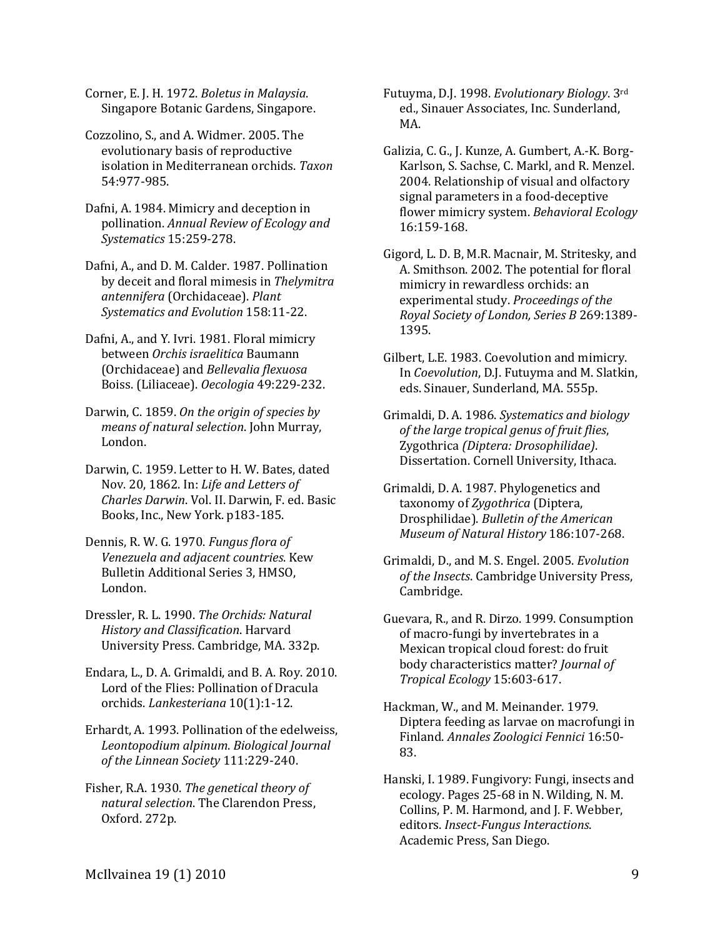Corner, E. J. H. 1972. *Boletus in Malaysia*. Singapore Botanic Gardens, Singapore.

Cozzolino, S., and A. Widmer. 2005. The evolutionary basis of reproductive isolation in Mediterranean orchids. *Taxon* 54:977-985.

Dafni, A. 1984. Mimicry and deception in pollination. *Annual Review of Ecology and Systematics* 15:259-278.

Dafni, A., and D. M. Calder. 1987. Pollination by deceit and floral mimesis in *Thelymitra antennifera* (Orchidaceae). *Plant Systematics and Evolution* 158:11-22.

Dafni, A., and Y. Ivri. 1981. Floral mimicry between *Orchis israelitica* Baumann (Orchidaceae) and *Bellevalia flexuosa* Boiss. (Liliaceae). *Oecologia* 49:229-232.

Darwin, C. 1859. *On the origin of species by means of natural selection*. John Murray, London.

Darwin, C. 1959. Letter to H. W. Bates, dated Nov. 20, 1862. In: *Life and Letters of Charles Darwin*. Vol. II. Darwin, F. ed. Basic Books, Inc., New York. p183-185.

Dennis, R. W. G. 1970. *Fungus flora of Venezuela and adjacent countries*. Kew Bulletin Additional Series 3, HMSO, London.

Dressler, R. L. 1990. *The Orchids: Natural History and Classification*. Harvard University Press. Cambridge, MA. 332p.

Endara, L., D. A. Grimaldi, and B. A. Roy. 2010. Lord of the Flies: Pollination of Dracula orchids. *Lankesteriana* 10(1):1-12.

Erhardt, A. 1993. Pollination of the edelweiss, *Leontopodium alpinum*. *Biological Journal of the Linnean Society* 111:229-240.

Fisher, R.A. 1930. *The genetical theory of natural selection*. The Clarendon Press, Oxford. 272p.

Futuyma, D.J. 1998. *Evolutionary Biology*. 3rd ed., Sinauer Associates, Inc. Sunderland, MA.

Galizia, C. G., J. Kunze, A. Gumbert, A.-K. Borg-Karlson, S. Sachse, C. Markl, and R. Menzel. 2004. Relationship of visual and olfactory signal parameters in a food-deceptive flower mimicry system. *Behavioral Ecology* 16:159-168.

Gigord, L. D. B, M.R. Macnair, M. Stritesky, and A. Smithson. 2002. The potential for floral mimicry in rewardless orchids: an experimental study. *Proceedings of the Royal Society of London, Series B* 269:1389- 1395.

Gilbert, L.E. 1983. Coevolution and mimicry. In *Coevolution*, D.J. Futuyma and M. Slatkin, eds. Sinauer, Sunderland, MA. 555p.

Grimaldi, D. A. 1986. *Systematics and biology of the large tropical genus of fruit flies*, Zygothrica *(Diptera: Drosophilidae)*. Dissertation. Cornell University, Ithaca.

Grimaldi, D. A. 1987. Phylogenetics and taxonomy of *Zygothrica* (Diptera, Drosphilidae). *Bulletin of the American Museum of Natural History* 186:107-268.

Grimaldi, D., and M. S. Engel. 2005. *Evolution of the Insects*. Cambridge University Press, Cambridge.

Guevara, R., and R. Dirzo. 1999. Consumption of macro-fungi by invertebrates in a Mexican tropical cloud forest: do fruit body characteristics matter? *Journal of Tropical Ecology* 15:603-617.

Hackman, W., and M. Meinander. 1979. Diptera feeding as larvae on macrofungi in Finland. *Annales Zoologici Fennici* 16:50- 83.

Hanski, I. 1989. Fungivory: Fungi, insects and ecology. Pages 25-68 in N. Wilding, N. M. Collins, P. M. Harmond, and J. F. Webber, editors. *Insect-Fungus Interactions*. Academic Press, San Diego.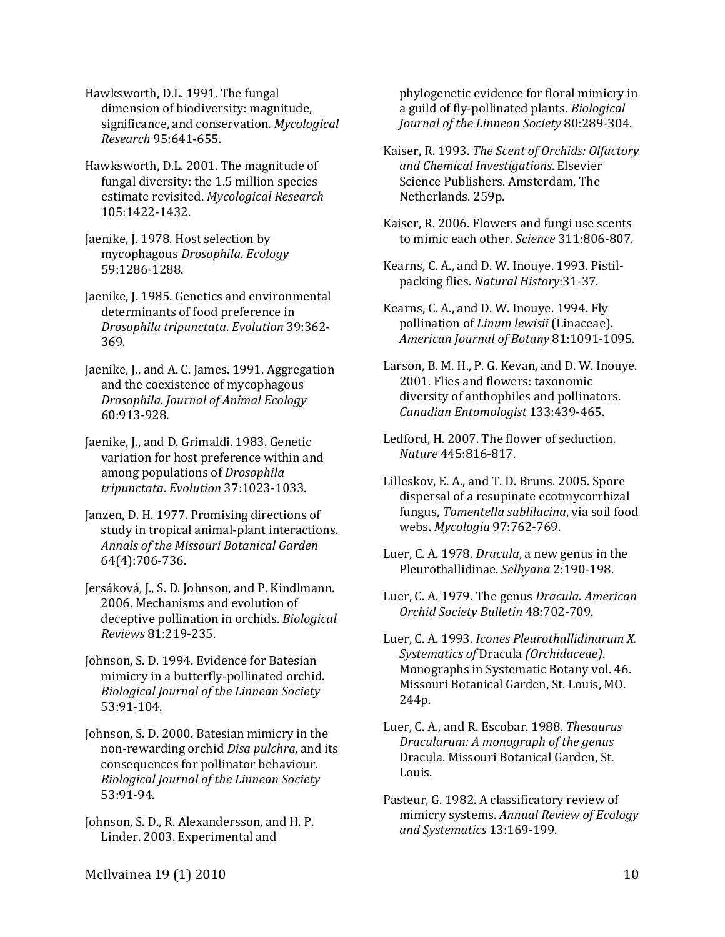Hawksworth, D.L. 1991. The fungal dimension of biodiversity: magnitude, significance, and conservation. *Mycological Research* 95:641-655.

- Hawksworth, D.L. 2001. The magnitude of fungal diversity: the 1.5 million species estimate revisited. *Mycological Research* 105:1422-1432.
- Jaenike, J. 1978. Host selection by mycophagous *Drosophila*. *Ecology* 59:1286-1288.
- Jaenike, J. 1985. Genetics and environmental determinants of food preference in *Drosophila tripunctata*. *Evolution* 39:362- 369.
- Jaenike, J., and A. C. James. 1991. Aggregation and the coexistence of mycophagous *Drosophila*. *Journal of Animal Ecology*  60:913-928.

Jaenike, J., and D. Grimaldi. 1983. Genetic variation for host preference within and among populations of *Drosophila tripunctata*. *Evolution* 37:1023-1033.

- Janzen, D. H. 1977. Promising directions of study in tropical animal-plant interactions. *Annals of the Missouri Botanical Garden* 64(4):706-736.
- Jersáková, J., S. D. Johnson, and P. Kindlmann. 2006. Mechanisms and evolution of deceptive pollination in orchids. *Biological Reviews* 81:219-235.
- Johnson, S. D. 1994. Evidence for Batesian mimicry in a butterfly-pollinated orchid. *Biological Journal of the Linnean Society* 53:91-104.

Johnson, S. D. 2000. Batesian mimicry in the non-rewarding orchid *Disa pulchra*, and its consequences for pollinator behaviour. *Biological Journal of the Linnean Society* 53:91-94.

Johnson, S. D., R. Alexandersson, and H. P. Linder. 2003. Experimental and

phylogenetic evidence for floral mimicry in a guild of fly-pollinated plants. *Biological Journal of the Linnean Society* 80:289-304.

- Kaiser, R. 1993. *The Scent of Orchids: Olfactory and Chemical Investigations*. Elsevier Science Publishers. Amsterdam, The Netherlands. 259p.
- Kaiser, R. 2006. Flowers and fungi use scents to mimic each other. *Science* 311:806-807.
- Kearns, C. A., and D. W. Inouye. 1993. Pistilpacking flies. *Natural History*:31-37.

Kearns, C. A., and D. W. Inouye. 1994. Fly pollination of *Linum lewisii* (Linaceae). *American Journal of Botany* 81:1091-1095.

Larson, B. M. H., P. G. Kevan, and D. W. Inouye. 2001. Flies and flowers: taxonomic diversity of anthophiles and pollinators. *Canadian Entomologist* 133:439-465.

- Ledford, H. 2007. The flower of seduction. *Nature* 445:816-817.
- Lilleskov, E. A., and T. D. Bruns. 2005. Spore dispersal of a resupinate ecotmycorrhizal fungus, *Tomentella sublilacina*, via soil food webs. *Mycologia* 97:762-769.
- Luer, C. A. 1978. *Dracula*, a new genus in the Pleurothallidinae. *Selbyana* 2:190-198.
- Luer, C. A. 1979. The genus *Dracula*. *American Orchid Society Bulletin* 48:702-709.
- Luer, C. A. 1993. *Icones Pleurothallidinarum X. Systematics of* Dracula *(Orchidaceae)*. Monographs in Systematic Botany vol. 46. Missouri Botanical Garden, St. Louis, MO. 244p.
- Luer, C. A., and R. Escobar. 1988. *Thesaurus Dracularum: A monograph of the genus* Dracula. Missouri Botanical Garden, St. Louis.
- Pasteur, G. 1982. A classificatory review of mimicry systems. *Annual Review of Ecology and Systematics* 13:169-199.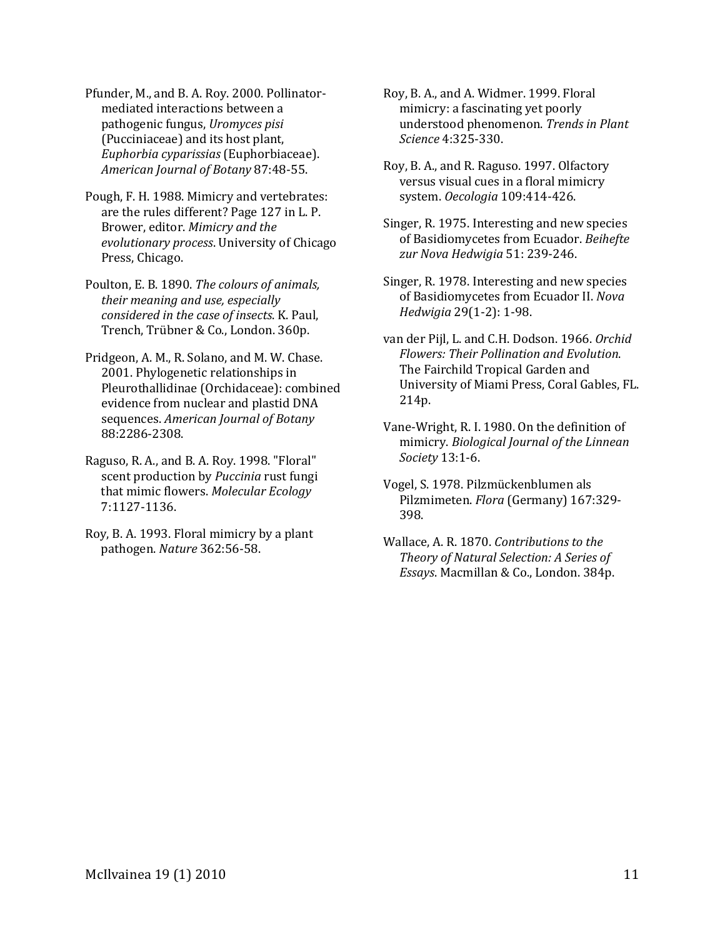Pfunder, M., and B. A. Roy. 2000. Pollinatormediated interactions between a pathogenic fungus, *Uromyces pisi* (Pucciniaceae) and its host plant, *Euphorbia cyparissias* (Euphorbiaceae). *American Journal of Botany* 87:48-55.

Pough, F. H. 1988. Mimicry and vertebrates: are the rules different? Page 127 in L. P. Brower, editor. *Mimicry and the evolutionary process*. University of Chicago Press, Chicago.

Poulton, E. B. 1890. *The colours of animals, their meaning and use, especially considered in the case of insects*. K. Paul, Trench, Trübner & Co., London. 360p.

Pridgeon, A. M., R. Solano, and M. W. Chase. 2001. Phylogenetic relationships in Pleurothallidinae (Orchidaceae): combined evidence from nuclear and plastid DNA sequences. *American Journal of Botany* 88:2286-2308.

Raguso, R. A., and B. A. Roy. 1998. "Floral" scent production by *Puccinia* rust fungi that mimic flowers. *Molecular Ecology* 7:1127-1136.

Roy, B. A. 1993. Floral mimicry by a plant pathogen. *Nature* 362:56-58.

Roy, B. A., and A. Widmer. 1999. Floral mimicry: a fascinating yet poorly understood phenomenon. *Trends in Plant Science* 4:325-330.

Roy, B. A., and R. Raguso. 1997. Olfactory versus visual cues in a floral mimicry system. *Oecologia* 109:414-426.

Singer, R. 1975. Interesting and new species of Basidiomycetes from Ecuador. *Beihefte zur Nova Hedwigia* 51: 239-246.

Singer, R. 1978. Interesting and new species of Basidiomycetes from Ecuador II. *Nova Hedwigia* 29(1-2): 1-98.

van der Pijl, L. and C.H. Dodson. 1966. *Orchid Flowers: Their Pollination and Evolution*. The Fairchild Tropical Garden and University of Miami Press, Coral Gables, FL. 214p.

Vane-Wright, R. I. 1980. On the definition of mimicry. *Biological Journal of the Linnean Society* 13:1-6.

Vogel, S. 1978. Pilzmückenblumen als Pilzmimeten. *Flora* (Germany) 167:329- 398.

Wallace, A. R. 1870. *Contributions to the Theory of Natural Selection: A Series of Essays*. Macmillan & Co., London. 384p.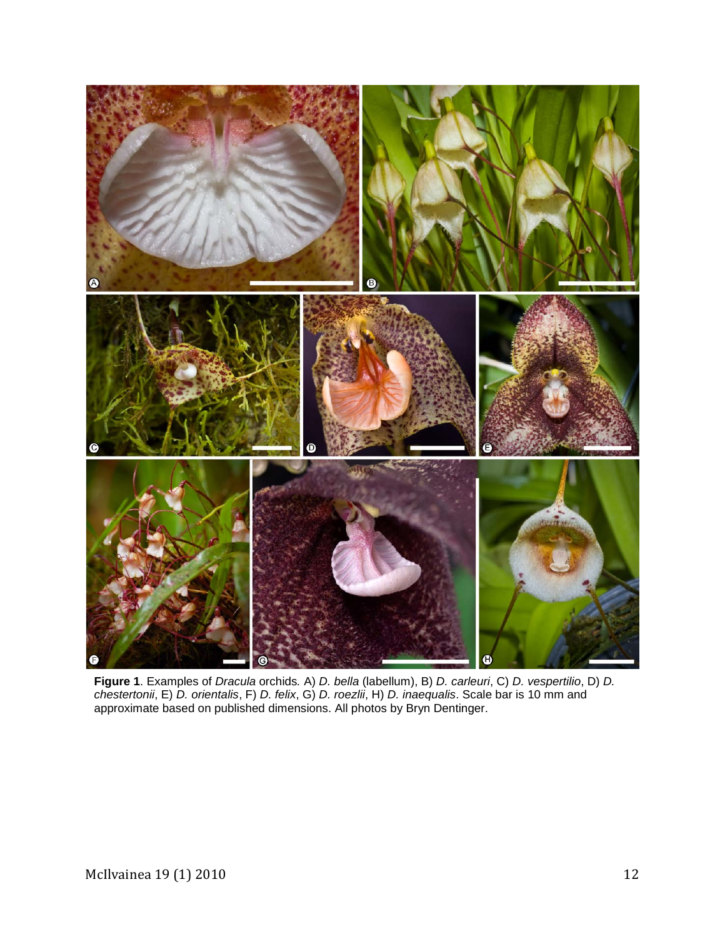

**Figure 1**. Examples of *Dracula* orchids*.* A) *D. bella* (labellum), B) *D. carleuri*, C) *D. vespertilio*, D) *D. chestertonii*, E) *D. orientalis*, F) *D. felix*, G) *D. roezlii*, H) *D. inaequalis*. Scale bar is 10 mm and approximate based on published dimensions. All photos by Bryn Dentinger.